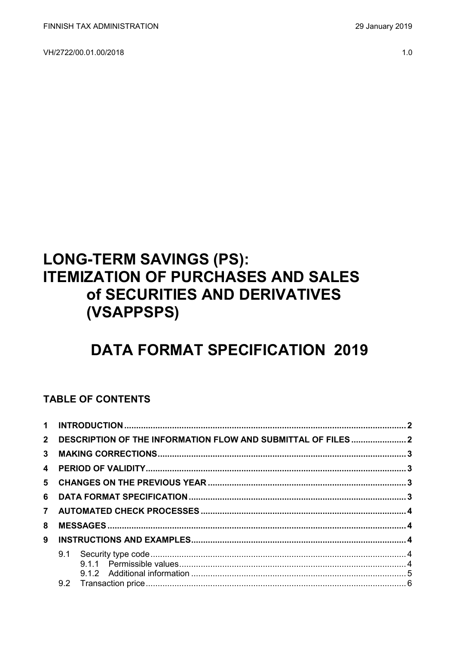VH/2722/00.01.00/2018

#### $1.0$

# **LONG-TERM SAVINGS (PS): ITEMIZATION OF PURCHASES AND SALES** of SECURITIES AND DERIVATIVES (VSAPPSPS)

# **DATA FORMAT SPECIFICATION 2019**

### **TABLE OF CONTENTS**

| $2^{\circ}$    | DESCRIPTION OF THE INFORMATION FLOW AND SUBMITTAL OF FILES2 |  |
|----------------|-------------------------------------------------------------|--|
| 3              |                                                             |  |
|                |                                                             |  |
|                |                                                             |  |
| 6              |                                                             |  |
| $\overline{7}$ |                                                             |  |
| 8              |                                                             |  |
| 9              |                                                             |  |
|                |                                                             |  |
|                |                                                             |  |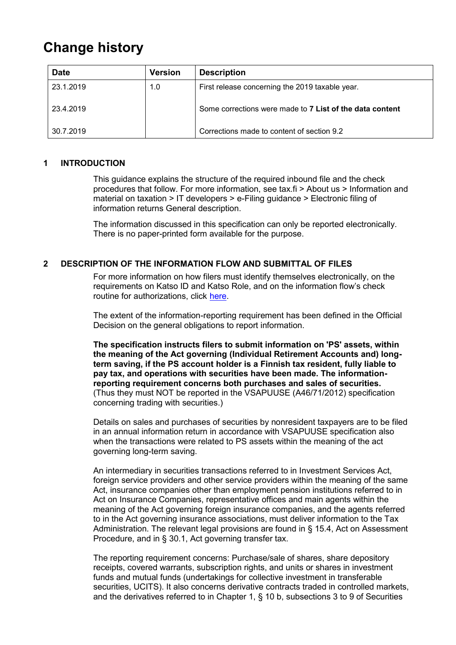## **Change history**

| <b>Date</b> | <b>Version</b> | <b>Description</b>                                       |
|-------------|----------------|----------------------------------------------------------|
| 23.1.2019   | 1.0            | First release concerning the 2019 taxable year.          |
| 23.4.2019   |                | Some corrections were made to 7 List of the data content |
| 30.7.2019   |                | Corrections made to content of section 9.2               |

#### <span id="page-1-0"></span>**1 INTRODUCTION**

This guidance explains the structure of the required inbound file and the check procedures that follow. For more information, see tax.fi > About us > Information and material on taxation > IT developers > e-Filing guidance > Electronic filing of information returns General description.

The information discussed in this specification can only be reported electronically. There is no paper-printed form available for the purpose.

#### <span id="page-1-1"></span>**2 DESCRIPTION OF THE INFORMATION FLOW AND SUBMITTAL OF FILES**

For more information on how filers must identify themselves electronically, on the requirements on Katso ID and Katso Role, and on the information flow's check routine for authorizations, click [here.](https://www.ilmoitin.fi/webtamo/sivut/IlmoituslajiRoolit?kieli=en&tv=VSAPPSPS)

The extent of the information-reporting requirement has been defined in the Official Decision on the general obligations to report information.

**The specification instructs filers to submit information on 'PS' assets, within the meaning of the Act governing (Individual Retirement Accounts and) longterm saving, if the PS account holder is a Finnish tax resident, fully liable to pay tax, and operations with securities have been made. The informationreporting requirement concerns both purchases and sales of securities.**  (Thus they must NOT be reported in the VSAPUUSE (A46/71/2012) specification concerning trading with securities.)

Details on sales and purchases of securities by nonresident taxpayers are to be filed in an annual information return in accordance with VSAPUUSE specification also when the transactions were related to PS assets within the meaning of the act governing long-term saving.

An intermediary in securities transactions referred to in Investment Services Act, foreign service providers and other service providers within the meaning of the same Act, insurance companies other than employment pension institutions referred to in Act on Insurance Companies, representative offices and main agents within the meaning of the Act governing foreign insurance companies, and the agents referred to in the Act governing insurance associations, must deliver information to the Tax Administration. The relevant legal provisions are found in § 15.4, Act on Assessment Procedure, and in § 30.1, Act governing transfer tax.

The reporting requirement concerns: Purchase/sale of shares, share depository receipts, covered warrants, subscription rights, and units or shares in investment funds and mutual funds (undertakings for collective investment in transferable securities, UCITS). It also concerns derivative contracts traded in controlled markets, and the derivatives referred to in Chapter 1, § 10 b, subsections 3 to 9 of Securities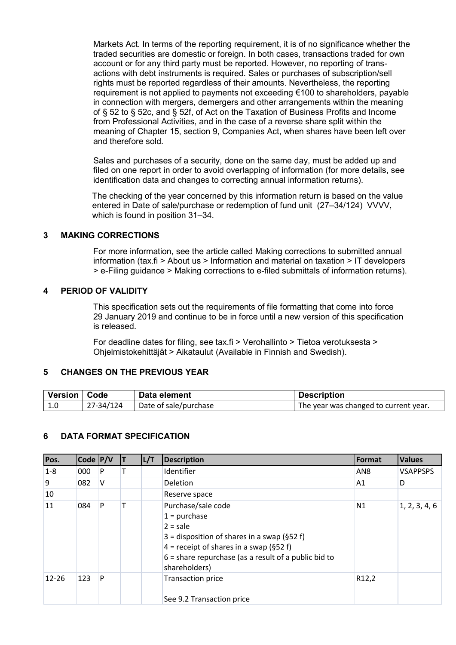Markets Act. In terms of the reporting requirement, it is of no significance whether the traded securities are domestic or foreign. In both cases, transactions traded for own account or for any third party must be reported. However, no reporting of transactions with debt instruments is required. Sales or purchases of subscription/sell rights must be reported regardless of their amounts. Nevertheless, the reporting requirement is not applied to payments not exceeding €100 to shareholders, payable in connection with mergers, demergers and other arrangements within the meaning of § 52 to § 52c, and § 52f, of Act on the Taxation of Business Profits and Income from Professional Activities, and in the case of a reverse share split within the meaning of Chapter 15, section 9, Companies Act, when shares have been left over and therefore sold.

Sales and purchases of a security, done on the same day, must be added up and filed on one report in order to avoid overlapping of information (for more details, see identification data and changes to correcting annual information returns).

The checking of the year concerned by this information return is based on the value entered in Date of sale/purchase or redemption of fund unit (27–34/124) VVVV, which is found in position 31–34.

#### <span id="page-2-0"></span>**3 MAKING CORRECTIONS**

For more information, see the article called Making corrections to submitted annual information (tax.fi > About us > Information and material on taxation > IT developers > e-Filing guidance > Making corrections to e-filed submittals of information returns).

#### <span id="page-2-1"></span>**4 PERIOD OF VALIDITY**

This specification sets out the requirements of file formatting that come into force 29 January 2019 and continue to be in force until a new version of this specification is released.

For deadline dates for filing, see tax.fi > Verohallinto > Tietoa verotuksesta > Ohjelmistokehittäjät > Aikataulut (Available in Finnish and Swedish).

#### <span id="page-2-2"></span>**5 CHANGES ON THE PREVIOUS YEAR**

| Version   Code |           | Data element          | <b>Description</b>                                 |
|----------------|-----------|-----------------------|----------------------------------------------------|
| 1.0            | 27-34/124 | Date of sale/purchase | <sup>1</sup> The year was changed to current year. |

#### <span id="page-2-3"></span>**6 DATA FORMAT SPECIFICATION**

| Pos.      | Code $P/V$ |   | L/T | <b>Description</b>                                                                                                                                                                                                      | Format             | <b>Values</b>   |
|-----------|------------|---|-----|-------------------------------------------------------------------------------------------------------------------------------------------------------------------------------------------------------------------------|--------------------|-----------------|
| $1-8$     | 000        | P |     | Identifier                                                                                                                                                                                                              | AN <sub>8</sub>    | <b>VSAPPSPS</b> |
| 9         | 082        | v |     | Deletion                                                                                                                                                                                                                | A1                 | D               |
| 10        |            |   |     | Reserve space                                                                                                                                                                                                           |                    |                 |
| 11        | 084        | P |     | Purchase/sale code<br>$1 =$ purchase<br>$2 = sale$<br>3 = disposition of shares in a swap (§52 f)<br>4 = receipt of shares in a swap (§52 f)<br>$6$ = share repurchase (as a result of a public bid to<br>shareholders) | N1                 | 1, 2, 3, 4, 6   |
| $12 - 26$ | 123        | P |     | <b>Transaction price</b><br>See 9.2 Transaction price                                                                                                                                                                   | R <sub>12</sub> ,2 |                 |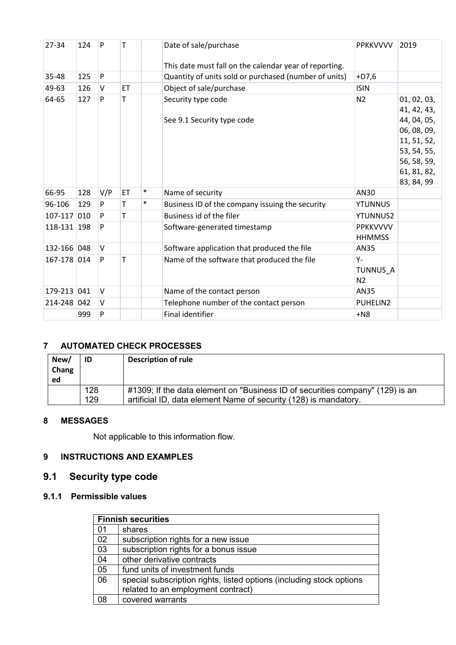| 27-34       | 124 | P      |    |        | Date of sale/purchase                                  | <b>PPKKVVVV</b>                     | 2019                                                                                                                               |
|-------------|-----|--------|----|--------|--------------------------------------------------------|-------------------------------------|------------------------------------------------------------------------------------------------------------------------------------|
|             |     |        |    |        | This date must fall on the calendar year of reporting. |                                     |                                                                                                                                    |
| 35-48       | 125 | P      |    |        | Quantity of units sold or purchased (number of units)  | $+D7,6$                             |                                                                                                                                    |
| 49-63       | 126 | V      | ET |        | Object of sale/purchase                                | <b>ISIN</b>                         |                                                                                                                                    |
| 64-65       | 127 | P      | т  |        | Security type code<br>See 9.1 Security type code       | N <sub>2</sub>                      | 01, 02, 03,<br>41, 42, 43,<br>44, 04, 05,<br>06, 08, 09,<br>11, 51, 52,<br>53, 54, 55,<br>56, 58, 59,<br>61, 81, 82,<br>83, 84, 99 |
| 66-95       | 128 | V/P    | ET | $\ast$ | Name of security                                       | AN30                                |                                                                                                                                    |
| 96-106      | 129 | P      | т  | $\ast$ | Business ID of the company issuing the security        | <b>YTUNNUS</b>                      |                                                                                                                                    |
| $107 - 117$ | 010 | P      |    |        | Business id of the filer                               | <b>YTUNNUS2</b>                     |                                                                                                                                    |
| 118-131 198 |     | P      |    |        | Software-generated timestamp                           | <b>PPKKVVVV</b><br><b>HHMMSS</b>    |                                                                                                                                    |
| 132-166 048 |     | $\vee$ |    |        | Software application that produced the file            | <b>AN35</b>                         |                                                                                                                                    |
| 167-178 014 |     | P      | т  |        | Name of the software that produced the file            | $Y -$<br>TUNNUS_A<br>N <sub>2</sub> |                                                                                                                                    |
| 179-213 041 |     | V      |    |        | Name of the contact person                             | AN35                                |                                                                                                                                    |
| 214-248 042 |     | V      |    |        | Telephone number of the contact person                 | PUHELIN2                            |                                                                                                                                    |
|             | 999 | P      |    |        | <b>Final identifier</b>                                | $+N8$                               |                                                                                                                                    |

### <span id="page-3-0"></span>**7 AUTOMATED CHECK PROCESSES**

| New/<br>Chang<br>ed | ID  | <b>Description of rule</b>                                                    |
|---------------------|-----|-------------------------------------------------------------------------------|
|                     | 128 | #1309; If the data element on "Business ID of securities company" (129) is an |
|                     | 129 | artificial ID, data element Name of security (128) is mandatory.              |

#### <span id="page-3-1"></span>**8 MESSAGES**

Not applicable to this information flow.

#### <span id="page-3-2"></span>**9 INSTRUCTIONS AND EXAMPLES**

## <span id="page-3-3"></span>**9.1 Security type code**

### <span id="page-3-4"></span>**9.1.1 Permissible values**

|                 | <b>Finnish securities</b>                                            |  |  |
|-----------------|----------------------------------------------------------------------|--|--|
| 01              | shares                                                               |  |  |
| 02              | subscription rights for a new issue                                  |  |  |
| $\overline{03}$ | subscription rights for a bonus issue                                |  |  |
| 04              | other derivative contracts                                           |  |  |
| 05              | fund units of investment funds                                       |  |  |
| 06              | special subscription rights, listed options (including stock options |  |  |
|                 | related to an employment contract)                                   |  |  |
| 08              | covered warrants                                                     |  |  |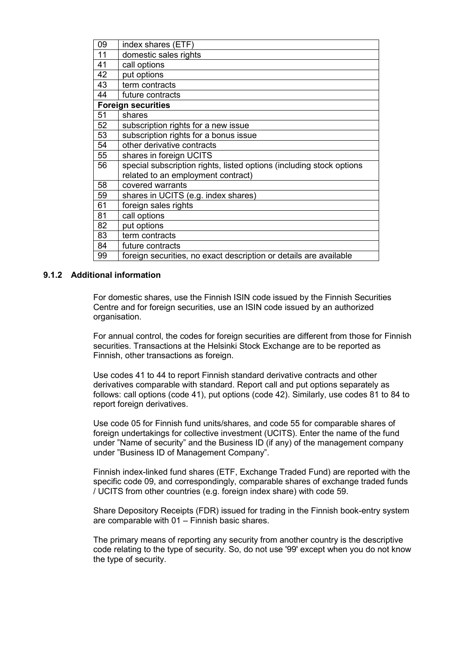| 09 | index shares (ETF)                                                   |
|----|----------------------------------------------------------------------|
| 11 | domestic sales rights                                                |
| 41 | call options                                                         |
| 42 | put options                                                          |
| 43 | term contracts                                                       |
| 44 | future contracts                                                     |
|    | <b>Foreign securities</b>                                            |
| 51 | shares                                                               |
| 52 | subscription rights for a new issue                                  |
| 53 | subscription rights for a bonus issue                                |
| 54 | other derivative contracts                                           |
| 55 | shares in foreign UCITS                                              |
| 56 | special subscription rights, listed options (including stock options |
|    | related to an employment contract)                                   |
| 58 | covered warrants                                                     |
| 59 | shares in UCITS (e.g. index shares)                                  |
| 61 | foreign sales rights                                                 |
| 81 | call options                                                         |
| 82 | put options                                                          |
| 83 | term contracts                                                       |
| 84 | future contracts                                                     |
| 99 | foreign securities, no exact description or details are available    |

#### <span id="page-4-0"></span>**9.1.2 Additional information**

For domestic shares, use the Finnish ISIN code issued by the Finnish Securities Centre and for foreign securities, use an ISIN code issued by an authorized organisation.

For annual control, the codes for foreign securities are different from those for Finnish securities. Transactions at the Helsinki Stock Exchange are to be reported as Finnish, other transactions as foreign.

Use codes 41 to 44 to report Finnish standard derivative contracts and other derivatives comparable with standard. Report call and put options separately as follows: call options (code 41), put options (code 42). Similarly, use codes 81 to 84 to report foreign derivatives.

Use code 05 for Finnish fund units/shares, and code 55 for comparable shares of foreign undertakings for collective investment (UCITS). Enter the name of the fund under "Name of security" and the Business ID (if any) of the management company under "Business ID of Management Company".

Finnish index-linked fund shares (ETF, Exchange Traded Fund) are reported with the specific code 09, and correspondingly, comparable shares of exchange traded funds / UCITS from other countries (e.g. foreign index share) with code 59.

Share Depository Receipts (FDR) issued for trading in the Finnish book-entry system are comparable with 01 – Finnish basic shares.

The primary means of reporting any security from another country is the descriptive code relating to the type of security. So, do not use '99' except when you do not know the type of security.